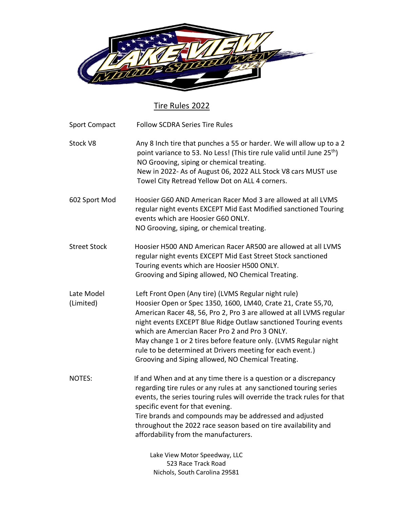

## Tire Rules 2022

| <b>Sport Compact</b>    | <b>Follow SCDRA Series Tire Rules</b>                                                                                                                                                                                                                                                                                                                                                                                                                                                                    |
|-------------------------|----------------------------------------------------------------------------------------------------------------------------------------------------------------------------------------------------------------------------------------------------------------------------------------------------------------------------------------------------------------------------------------------------------------------------------------------------------------------------------------------------------|
| Stock V8                | Any 8 Inch tire that punches a 55 or harder. We will allow up to a 2<br>point variance to 53. No Less! (This tire rule valid until June 25 <sup>th</sup> )<br>NO Grooving, siping or chemical treating.<br>New in 2022- As of August 06, 2022 ALL Stock V8 cars MUST use<br>Towel City Retread Yellow Dot on ALL 4 corners.                                                                                                                                                                              |
| 602 Sport Mod           | Hoosier G60 AND American Racer Mod 3 are allowed at all LVMS<br>regular night events EXCEPT Mid East Modified sanctioned Touring<br>events which are Hoosier G60 ONLY.<br>NO Grooving, siping, or chemical treating.                                                                                                                                                                                                                                                                                     |
| <b>Street Stock</b>     | Hoosier H500 AND American Racer AR500 are allowed at all LVMS<br>regular night events EXCEPT Mid East Street Stock sanctioned<br>Touring events which are Hoosier H500 ONLY.<br>Grooving and Siping allowed, NO Chemical Treating.                                                                                                                                                                                                                                                                       |
| Late Model<br>(Limited) | Left Front Open (Any tire) (LVMS Regular night rule)<br>Hoosier Open or Spec 1350, 1600, LM40, Crate 21, Crate 55,70,<br>American Racer 48, 56, Pro 2, Pro 3 are allowed at all LVMS regular<br>night events EXCEPT Blue Ridge Outlaw sanctioned Touring events<br>which are Amercian Racer Pro 2 and Pro 3 ONLY.<br>May change 1 or 2 tires before feature only. (LVMS Regular night<br>rule to be determined at Drivers meeting for each event.)<br>Grooving and Siping allowed, NO Chemical Treating. |
| NOTES:                  | If and When and at any time there is a question or a discrepancy<br>regarding tire rules or any rules at any sanctioned touring series<br>events, the series touring rules will override the track rules for that<br>specific event for that evening.<br>Tire brands and compounds may be addressed and adjusted<br>throughout the 2022 race season based on tire availability and<br>affordability from the manufacturers.                                                                              |
|                         | Lake View Motor Speedway, LLC<br>523 Race Track Road<br>Nichols, South Carolina 29581                                                                                                                                                                                                                                                                                                                                                                                                                    |